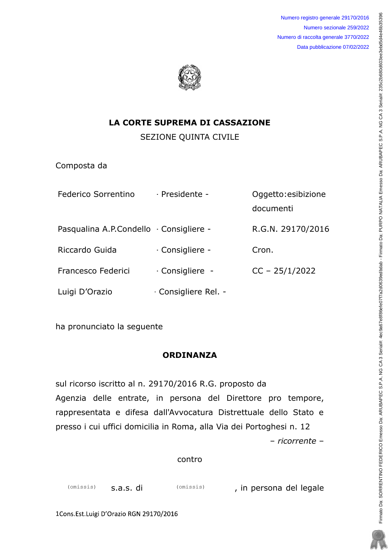Numero registro generale 29170/2016 Numero sezionale 259/2022 Numero di raccolta generale 3770/2022 Data pubblicazione 07/02/2022



### **LA CORTE SUPREMA DI CASSAZIONE**

**SEZIONE QUINTA CIVILE** 

Composta da

| Federico Sorrentino                     | - Presidente -     | Oggetto: esibizione |
|-----------------------------------------|--------------------|---------------------|
|                                         |                    | documenti           |
| Pasqualina A.P.Condello · Consigliere - |                    | R.G.N. 29170/2016   |
| Riccardo Guida                          | - Consigliere -    | Cron.               |
| Francesco Federici                      | - Consigliere -    | $CC - 25/1/2022$    |
| Luigi D'Orazio                          | Consigliere Rel. - |                     |

ha pronunciato la seguente

# **ORDINANZA**

sul ricorso iscritto al n. 29170/2016 R.G. proposto da Agenzia delle entrate, in persona del Direttore pro tempore, rappresentata e difesa dall'Avvocatura Distrettuale dello Stato e presso i cui uffici domicilia in Roma, alla Via dei Portoghesi n. 12 - ricorrente -

## contro

, in persona del legale (omissis) s.a.s. di (omissis)

1Cons.Est.Luigi D'Orazio RGN 29170/2016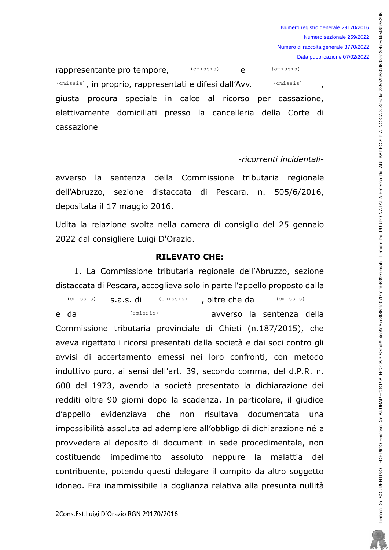rappresentante pro tempore,  $(0.0258)$  e (omissis), in proprio, rappresentati e difesi dall'Avv. (omissis) (omissis) giusta procura speciale in calce al ricorso per cassazione, elettivamente domiciliati presso la cancelleria della Corte di cassazione (omissis) (omissis)

#### -ricorrenti incidentali-

avverso la sentenza della Commissione tributaria regionale dell'Abruzzo, sezione distaccata di Pescara, n. 505/6/2016, depositata il 17 maggio 2016.

Udita la relazione svolta nella camera di consiglio del 25 gennaio 2022 dal consigliere Luigi D'Orazio.

#### RILEVATO CHE:

1. La Commissione tributaria regionale dell'Abruzzo, sezione distaccata di Pescara, accoglieva solo in parte l'appello proposto dalla

(omissis) **S.a.S. di** (omissis) , oltre che da (omissis) e da metal interests is and an avverso la sentenza della Commissione tributaria provinciale di Chieti (n.187/2015), che aveva rigettato i ricorsi presentati dalla società e dai soci contro gli avvisi di accertamento emessi nei loro confronti, con metodo induttivo puro, ai sensi dell'art. 39, secondo comma, del d.P.R. n. 600 del 1973, avendo la società presentato la dichiarazione dei redditi oltre 90 giorni dopo la scadenza. In particolare, il giudice d'appello evidenziava che non risultava documentata una impossibilità assoluta ad adempiere all'obbligo di dichiarazione né a provvedere al deposito di documenti in sede procedimentale, non costituendo impedimento assoluto neppure la malattia del contribuente, potendo questi delegare il compito da altro soggetto idoneo. Era inammissibile la doglianza relativa alla presunta nullità (omissis)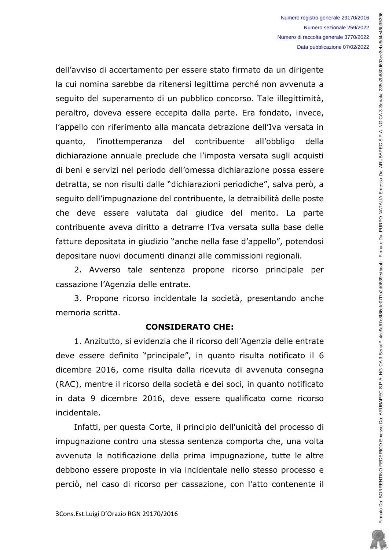dell'avviso di accertamento per essere stato firmato da un dirigente la cui nomina sarebbe da ritenersi legittima perché non avvenuta a sequito del superamento di un pubblico concorso. Tale illegittimità, peraltro, doveva essere eccepita dalla parte. Era fondato, invece, l'appello con riferimento alla mancata detrazione dell'Iva versata in l'inottemperanza del contribuente all'obbligo quanto, della dichiarazione annuale preclude che l'imposta versata sugli acquisti di beni e servizi nel periodo dell'omessa dichiarazione possa essere detratta, se non risulti dalle "dichiarazioni periodiche", salva però, a seguito dell'impugnazione del contribuente, la detraibilità delle poste che deve essere valutata dal giudice del merito. La parte contribuente aveva diritto a detrarre l'Iva versata sulla base delle fatture depositata in giudizio "anche nella fase d'appello", potendosi depositare nuovi documenti dinanzi alle commissioni regionali.

2. Avverso tale sentenza propone ricorso principale per cassazione l'Agenzia delle entrate.

3. Propone ricorso incidentale la società, presentando anche memoria scritta.

#### **CONSIDERATO CHE:**

1. Anzitutto, si evidenzia che il ricorso dell'Agenzia delle entrate deve essere definito "principale", in quanto risulta notificato il 6 dicembre 2016, come risulta dalla ricevuta di avvenuta consegna (RAC), mentre il ricorso della società e dei soci, in quanto notificato in data 9 dicembre 2016, deve essere qualificato come ricorso incidentale.

Infatti, per questa Corte, il principio dell'unicità del processo di impugnazione contro una stessa sentenza comporta che, una volta avvenuta la notificazione della prima impugnazione, tutte le altre debbono essere proposte in via incidentale nello stesso processo e perciò, nel caso di ricorso per cassazione, con l'atto contenente il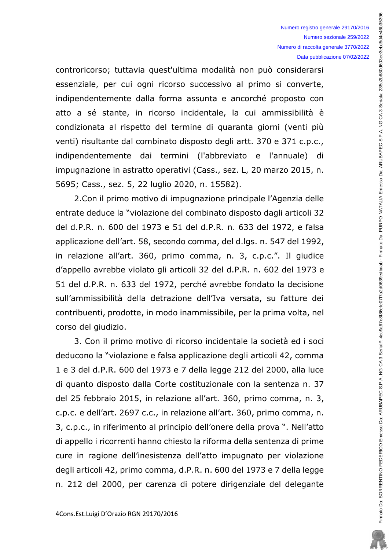controricorso; tuttavia quest'ultima modalità non può considerarsi essenziale, per cui ogni ricorso successivo al primo si converte, indipendentemente dalla forma assunta e ancorché proposto con atto a sé stante, in ricorso incidentale, la cui ammissibilità è condizionata al rispetto del termine di quaranta giorni (venti più venti) risultante dal combinato disposto degli artt. 370 e 371 c.p.c., indipendentemente dai termini (l'abbreviato e l'annuale) di impugnazione in astratto operativi (Cass., sez. L, 20 marzo 2015, n. 5695; Cass., sez. 5, 22 luglio 2020, n. 15582).

2. Con il primo motivo di impugnazione principale l'Agenzia delle entrate deduce la "violazione del combinato disposto dagli articoli 32 del d.P.R. n. 600 del 1973 e 51 del d.P.R. n. 633 del 1972, e falsa applicazione dell'art. 58, secondo comma, del d.lgs. n. 547 del 1992, in relazione all'art. 360, primo comma, n. 3, c.p.c.". Il giudice d'appello avrebbe violato gli articoli 32 del d.P.R. n. 602 del 1973 e 51 del d.P.R. n. 633 del 1972, perché avrebbe fondato la decisione sull'ammissibilità della detrazione dell'Iva versata, su fatture dei contribuenti, prodotte, in modo inammissibile, per la prima volta, nel corso del giudizio.

3. Con il primo motivo di ricorso incidentale la società ed i soci deducono la "violazione e falsa applicazione degli articoli 42, comma 1 e 3 del d.P.R. 600 del 1973 e 7 della legge 212 del 2000, alla luce di quanto disposto dalla Corte costituzionale con la sentenza n. 37 del 25 febbraio 2015, in relazione all'art. 360, primo comma, n. 3, c.p.c. e dell'art. 2697 c.c., in relazione all'art. 360, primo comma, n. 3, c.p.c., in riferimento al principio dell'onere della prova ". Nell'atto di appello i ricorrenti hanno chiesto la riforma della sentenza di prime cure in ragione dell'inesistenza dell'atto impugnato per violazione degli articoli 42, primo comma, d.P.R. n. 600 del 1973 e 7 della legge n. 212 del 2000, per carenza di potere dirigenziale del delegante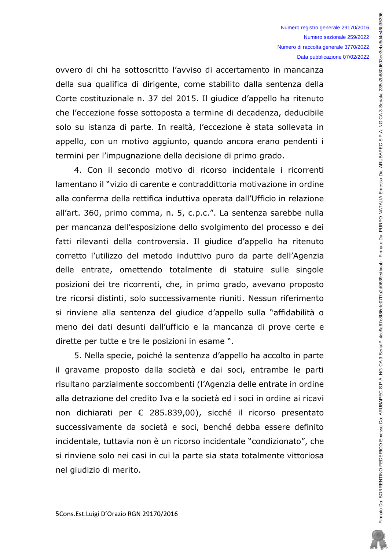ovvero di chi ha sottoscritto l'avviso di accertamento in mancanza della sua qualifica di dirigente, come stabilito dalla sentenza della Corte costituzionale n. 37 del 2015. Il giudice d'appello ha ritenuto che l'eccezione fosse sottoposta a termine di decadenza, deducibile solo su istanza di parte. In realtà, l'eccezione è stata sollevata in appello, con un motivo aggiunto, quando ancora erano pendenti i termini per l'impugnazione della decisione di primo grado.

4. Con il secondo motivo di ricorso incidentale i ricorrenti lamentano il "vizio di carente e contraddittoria motivazione in ordine alla conferma della rettifica induttiva operata dall'Ufficio in relazione all'art. 360, primo comma, n. 5, c.p.c.". La sentenza sarebbe nulla per mancanza dell'esposizione dello svolgimento del processo e dei fatti rilevanti della controversia. Il giudice d'appello ha ritenuto corretto l'utilizzo del metodo induttivo puro da parte dell'Agenzia delle entrate, omettendo totalmente di statuire sulle singole posizioni dei tre ricorrenti, che, in primo grado, avevano proposto tre ricorsi distinti, solo successivamente riuniti. Nessun riferimento si rinviene alla sentenza del giudice d'appello sulla "affidabilità o meno dei dati desunti dall'ufficio e la mancanza di prove certe e dirette per tutte e tre le posizioni in esame ".

5. Nella specie, poiché la sentenza d'appello ha accolto in parte il gravame proposto dalla società e dai soci, entrambe le parti risultano parzialmente soccombenti (l'Agenzia delle entrate in ordine alla detrazione del credito Iva e la società ed i soci in ordine ai ricavi non dichiarati per € 285.839,00), sicché il ricorso presentato successivamente da società e soci, benché debba essere definito incidentale, tuttavia non è un ricorso incidentale "condizionato", che si rinviene solo nei casi in cui la parte sia stata totalmente vittoriosa nel giudizio di merito.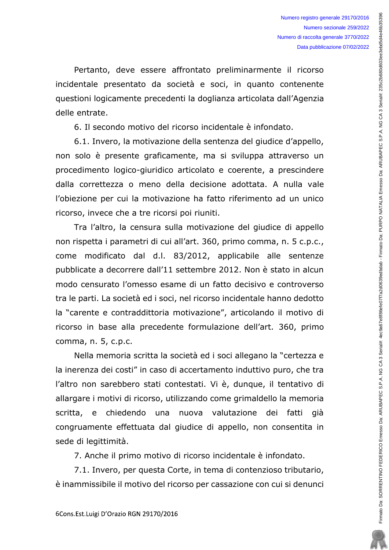Pertanto, deve essere affrontato preliminarmente il ricorso incidentale presentato da società e soci, in quanto contenente questioni logicamente precedenti la doglianza articolata dall'Agenzia delle entrate.

6. Il secondo motivo del ricorso incidentale è infondato.

6.1. Invero, la motivazione della sentenza del giudice d'appello, non solo è presente graficamente, ma si sviluppa attraverso un procedimento logico-giuridico articolato e coerente, a prescindere dalla correttezza o meno della decisione adottata. A nulla vale l'obiezione per cui la motivazione ha fatto riferimento ad un unico ricorso, invece che a tre ricorsi poi riuniti.

Tra l'altro, la censura sulla motivazione del giudice di appello non rispetta i parametri di cui all'art. 360, primo comma, n. 5 c.p.c., come modificato dal d.l. 83/2012, applicabile alle sentenze pubblicate a decorrere dall'11 settembre 2012. Non è stato in alcun modo censurato l'omesso esame di un fatto decisivo e controverso tra le parti. La società ed i soci, nel ricorso incidentale hanno dedotto la "carente e contraddittoria motivazione", articolando il motivo di ricorso in base alla precedente formulazione dell'art. 360, primo comma, n. 5, c.p.c.

Nella memoria scritta la società ed i soci allegano la "certezza e la inerenza dei costi" in caso di accertamento induttivo puro, che tra l'altro non sarebbero stati contestati. Vi è, dunque, il tentativo di allargare i motivi di ricorso, utilizzando come grimaldello la memoria scritta, e chiedendo nuova valutazione dei fatti già una congruamente effettuata dal giudice di appello, non consentita in sede di legittimità.

7. Anche il primo motivo di ricorso incidentale è infondato.

7.1. Invero, per questa Corte, in tema di contenzioso tributario, è inammissibile il motivo del ricorso per cassazione con cui si denunci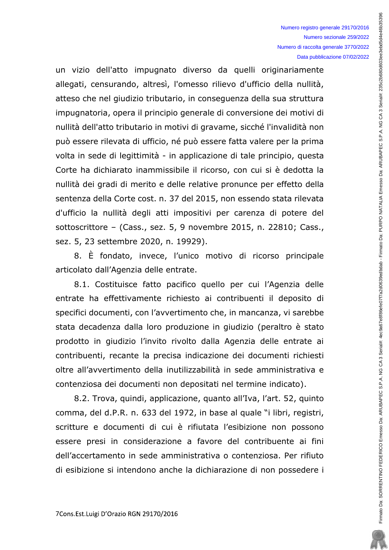un vizio dell'atto impugnato diverso da quelli originariamente allegati, censurando, altresì, l'omesso rilievo d'ufficio della nullità, atteso che nel giudizio tributario, in conseguenza della sua struttura impugnatoria, opera il principio generale di conversione dei motivi di nullità dell'atto tributario in motivi di gravame, sicché l'invalidità non può essere rilevata di ufficio, né può essere fatta valere per la prima volta in sede di legittimità - in applicazione di tale principio, questa Corte ha dichiarato inammissibile il ricorso, con cui si è dedotta la nullità dei gradi di merito e delle relative pronunce per effetto della sentenza della Corte cost. n. 37 del 2015, non essendo stata rilevata d'ufficio la nullità degli atti impositivi per carenza di potere del sottoscrittore - (Cass., sez. 5, 9 novembre 2015, n. 22810; Cass., sez. 5, 23 settembre 2020, n. 19929).

8. È fondato, invece, l'unico motivo di ricorso principale articolato dall'Agenzia delle entrate.

8.1. Costituisce fatto pacifico quello per cui l'Agenzia delle entrate ha effettivamente richiesto ai contribuenti il deposito di specifici documenti, con l'avvertimento che, in mancanza, vi sarebbe stata decadenza dalla loro produzione in giudizio (peraltro è stato prodotto in giudizio l'invito rivolto dalla Agenzia delle entrate ai contribuenti, recante la precisa indicazione dei documenti richiesti oltre all'avvertimento della inutilizzabilità in sede amministrativa e contenziosa dei documenti non depositati nel termine indicato).

8.2. Trova, quindi, applicazione, quanto all'Iva, l'art. 52, quinto comma, del d.P.R. n. 633 del 1972, in base al quale "i libri, registri, scritture e documenti di cui è rifiutata l'esibizione non possono essere presi in considerazione a favore del contribuente ai fini dell'accertamento in sede amministrativa o contenziosa. Per rifiuto di esibizione si intendono anche la dichiarazione di non possedere i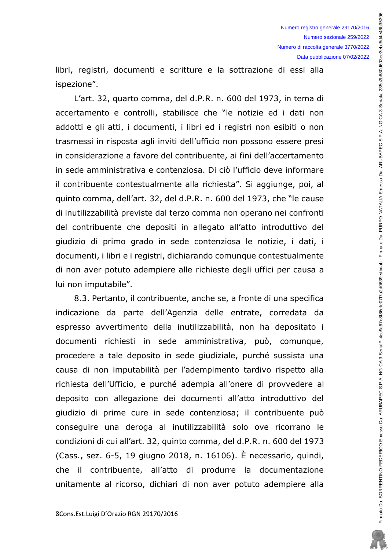libri, registri, documenti e scritture e la sottrazione di essi alla ispezione".

L'art. 32, quarto comma, del d.P.R. n. 600 del 1973, in tema di accertamento e controlli, stabilisce che "le notizie ed i dati non addotti e gli atti, i documenti, i libri ed i registri non esibiti o non trasmessi in risposta agli inviti dell'ufficio non possono essere presi in considerazione a favore del contribuente, ai fini dell'accertamento in sede amministrativa e contenziosa. Di ciò l'ufficio deve informare il contribuente contestualmente alla richiesta". Si aggiunge, poi, al quinto comma, dell'art. 32, del d.P.R. n. 600 del 1973, che "le cause di inutilizzabilità previste dal terzo comma non operano nei confronti del contribuente che depositi in allegato all'atto introduttivo del giudizio di primo grado in sede contenziosa le notizie, i dati, i documenti, i libri e i registri, dichiarando comunque contestualmente di non aver potuto adempiere alle richieste degli uffici per causa a lui non imputabile".

8.3. Pertanto, il contribuente, anche se, a fronte di una specifica indicazione da parte dell'Agenzia delle entrate, corredata da espresso avvertimento della inutilizzabilità, non ha depositato i documenti richiesti in sede amministrativa, può, comunque, procedere a tale deposito in sede giudiziale, purché sussista una causa di non imputabilità per l'adempimento tardivo rispetto alla richiesta dell'Ufficio, e purché adempia all'onere di provvedere al deposito con allegazione dei documenti all'atto introduttivo del giudizio di prime cure in sede contenziosa; il contribuente può conseguire una deroga al inutilizzabilità solo ove ricorrano le condizioni di cui all'art. 32, quinto comma, del d.P.R. n. 600 del 1973 (Cass., sez. 6-5, 19 giugno 2018, n. 16106). È necessario, guindi, che il contribuente, all'atto di produrre la documentazione unitamente al ricorso, dichiari di non aver potuto adempiere alla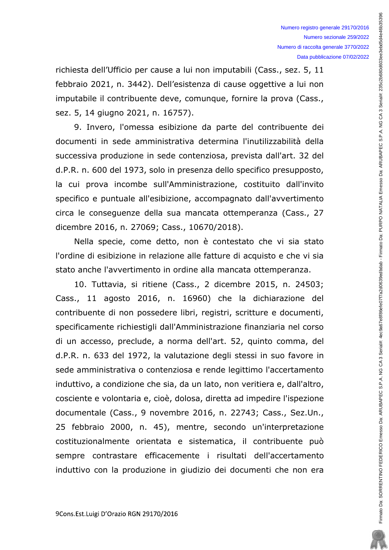richiesta dell'Ufficio per cause a lui non imputabili (Cass., sez. 5, 11 febbraio 2021, n. 3442). Dell'esistenza di cause oggettive a lui non imputabile il contribuente deve, comunque, fornire la prova (Cass., sez. 5, 14 giugno 2021, n. 16757).

9. Invero, l'omessa esibizione da parte del contribuente dei documenti in sede amministrativa determina l'inutilizzabilità della successiva produzione in sede contenziosa, prevista dall'art. 32 del d.P.R. n. 600 del 1973, solo in presenza dello specifico presupposto, la cui prova incombe sull'Amministrazione, costituito dall'invito specifico e puntuale all'esibizione, accompagnato dall'avvertimento circa le conseguenze della sua mancata ottemperanza (Cass., 27 dicembre 2016, n. 27069; Cass., 10670/2018).

Nella specie, come detto, non è contestato che vi sia stato l'ordine di esibizione in relazione alle fatture di acquisto e che vi sia stato anche l'avvertimento in ordine alla mancata ottemperanza.

10. Tuttavia, si ritiene (Cass., 2 dicembre 2015, n. 24503; Cass., 11 agosto 2016, n. 16960) che la dichiarazione del contribuente di non possedere libri, registri, scritture e documenti, specificamente richiestigli dall'Amministrazione finanziaria nel corso di un accesso, preclude, a norma dell'art. 52, quinto comma, del d.P.R. n. 633 del 1972, la valutazione degli stessi in suo favore in sede amministrativa o contenziosa e rende legittimo l'accertamento induttivo, a condizione che sia, da un lato, non veritiera e, dall'altro, cosciente e volontaria e, cioè, dolosa, diretta ad impedire l'ispezione documentale (Cass., 9 novembre 2016, n. 22743; Cass., Sez.Un., 25 febbraio 2000, n. 45), mentre, secondo un'interpretazione costituzionalmente orientata e sistematica, il contribuente può sempre contrastare efficacemente i risultati dell'accertamento induttivo con la produzione in giudizio dei documenti che non era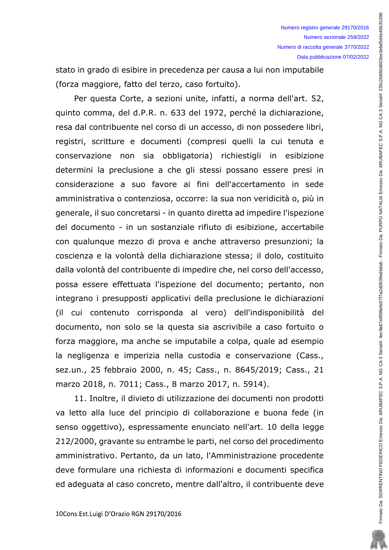stato in grado di esibire in precedenza per causa a lui non imputabile (forza maggiore, fatto del terzo, caso fortuito).

Per questa Corte, a sezioni unite, infatti, a norma dell'art. 52, quinto comma, del d.P.R. n. 633 del 1972, perché la dichiarazione, resa dal contribuente nel corso di un accesso, di non possedere libri, registri, scritture e documenti (compresi quelli la cui tenuta e conservazione non sia obbligatoria) richiestigli in esibizione determini la preclusione a che gli stessi possano essere presi in considerazione a suo favore ai fini dell'accertamento in sede amministrativa o contenziosa, occorre: la sua non veridicità o, più in generale, il suo concretarsi - in quanto diretta ad impedire l'ispezione del documento - in un sostanziale rifiuto di esibizione, accertabile con qualunque mezzo di prova e anche attraverso presunzioni; la coscienza e la volontà della dichiarazione stessa; il dolo, costituito dalla volontà del contribuente di impedire che, nel corso dell'accesso, possa essere effettuata l'ispezione del documento; pertanto, non integrano i presupposti applicativi della preclusione le dichiarazioni (il cui contenuto corrisponda al vero) dell'indisponibilità del documento, non solo se la questa sia ascrivibile a caso fortuito o forza maggiore, ma anche se imputabile a colpa, quale ad esempio la negligenza e imperizia nella custodia e conservazione (Cass., sez.un., 25 febbraio 2000, n. 45; Cass., n. 8645/2019; Cass., 21 marzo 2018, n. 7011; Cass., 8 marzo 2017, n. 5914).

11. Inoltre, il divieto di utilizzazione dei documenti non prodotti va letto alla luce del principio di collaborazione e buona fede (in senso oggettivo), espressamente enunciato nell'art. 10 della legge 212/2000, gravante su entrambe le parti, nel corso del procedimento amministrativo. Pertanto, da un lato, l'Amministrazione procedente deve formulare una richiesta di informazioni e documenti specifica ed adeguata al caso concreto, mentre dall'altro, il contribuente deve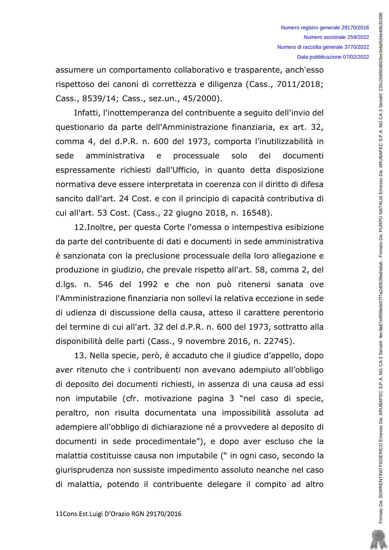assumere un comportamento collaborativo e trasparente, anch'esso rispettoso dei canoni di correttezza e diligenza (Cass., 7011/2018; Cass., 8539/14; Cass., sez.un., 45/2000).

Infatti, l'inottemperanza del contribuente a sequito dell'invio del questionario da parte dell'Amministrazione finanziaria, ex art. 32, comma 4, del d.P.R. n. 600 del 1973, comporta l'inutilizzabilità in sede amministrativa e processuale solo dei documenti espressamente richiesti dall'Ufficio, in quanto detta disposizione normativa deve essere interpretata in coerenza con il diritto di difesa sancito dall'art. 24 Cost. e con il principio di capacità contributiva di cui all'art. 53 Cost. (Cass., 22 giugno 2018, n. 16548).

12. Inoltre, per questa Corte l'omessa o intempestiva esibizione da parte del contribuente di dati e documenti in sede amministrativa è sanzionata con la preclusione processuale della loro allegazione e produzione in giudizio, che prevale rispetto all'art. 58, comma 2, del d.lgs. n. 546 del 1992 e che non può ritenersi sanata ove l'Amministrazione finanziaria non sollevi la relativa eccezione in sede di udienza di discussione della causa, atteso il carattere perentorio del termine di cui all'art. 32 del d.P.R. n. 600 del 1973, sottratto alla disponibilità delle parti (Cass., 9 novembre 2016, n. 22745).

13. Nella specie, però, è accaduto che il giudice d'appello, dopo aver ritenuto che i contribuenti non avevano adempiuto all'obbligo di deposito dei documenti richiesti, in assenza di una causa ad essi non imputabile (cfr. motivazione pagina 3 "nel caso di specie, peraltro, non risulta documentata una impossibilità assoluta ad adempiere all'obbligo di dichiarazione né a provvedere al deposito di documenti in sede procedimentale"), e dopo aver escluso che la malattia costituisse causa non imputabile (" in ogni caso, secondo la giurisprudenza non sussiste impedimento assoluto neanche nel caso di malattia, potendo il contribuente delegare il compito ad altro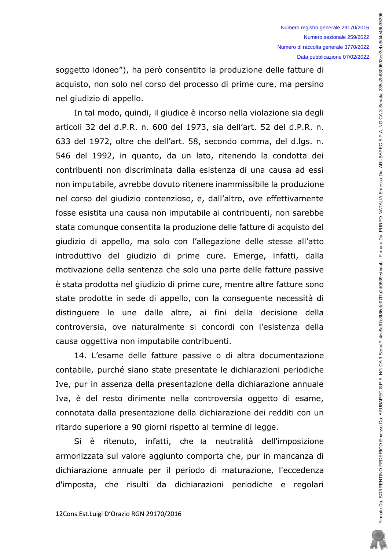soggetto idoneo"), ha però consentito la produzione delle fatture di acquisto, non solo nel corso del processo di prime cure, ma persino nel giudizio di appello.

In tal modo, quindi, il giudice è incorso nella violazione sia degli articoli 32 del d.P.R. n. 600 del 1973, sia dell'art. 52 del d.P.R. n. 633 del 1972, oltre che dell'art. 58, secondo comma, del d.lgs. n. 546 del 1992, in quanto, da un lato, ritenendo la condotta dei contribuenti non discriminata dalla esistenza di una causa ad essi non imputabile, avrebbe dovuto ritenere inammissibile la produzione nel corso del giudizio contenzioso, e, dall'altro, ove effettivamente fosse esistita una causa non imputabile ai contribuenti, non sarebbe stata comunque consentita la produzione delle fatture di acquisto del giudizio di appello, ma solo con l'allegazione delle stesse all'atto introduttivo del giudizio di prime cure. Emerge, infatti, dalla motivazione della sentenza che solo una parte delle fatture passive è stata prodotta nel giudizio di prime cure, mentre altre fatture sono state prodotte in sede di appello, con la consequente necessità di distinguere le une dalle altre, ai fini della decisione della controversia, ove naturalmente si concordi con l'esistenza della causa oggettiva non imputabile contribuenti.

14. L'esame delle fatture passive o di altra documentazione contabile, purché siano state presentate le dichiarazioni periodiche Ive, pur in assenza della presentazione della dichiarazione annuale Iva, è del resto dirimente nella controversia oggetto di esame, connotata dalla presentazione della dichiarazione dei redditi con un ritardo superiore a 90 giorni rispetto al termine di legge.

Si è ritenuto, infatti, che la neutralità dell'imposizione armonizzata sul valore aggiunto comporta che, pur in mancanza di dichiarazione annuale per il periodo di maturazione, l'eccedenza d'imposta, che risulti da dichiarazioni periodiche e regolari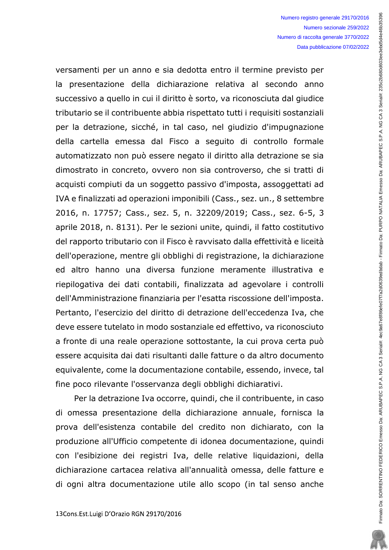versamenti per un anno e sia dedotta entro il termine previsto per la presentazione della dichiarazione relativa al secondo anno successivo a quello in cui il diritto è sorto, va riconosciuta dal giudice tributario se il contribuente abbia rispettato tutti i requisiti sostanziali per la detrazione, sicché, in tal caso, nel giudizio d'impugnazione della cartella emessa dal Fisco a seguito di controllo formale automatizzato non può essere negato il diritto alla detrazione se sia dimostrato in concreto, ovvero non sia controverso, che si tratti di acquisti compiuti da un soggetto passivo d'imposta, assoggettati ad IVA e finalizzati ad operazioni imponibili (Cass., sez. un., 8 settembre 2016, n. 17757; Cass., sez. 5, n. 32209/2019; Cass., sez. 6-5, 3 aprile 2018, n. 8131). Per le sezioni unite, quindi, il fatto costitutivo del rapporto tributario con il Fisco è ravvisato dalla effettività e liceità dell'operazione, mentre gli obblighi di registrazione, la dichiarazione ed altro hanno una diversa funzione meramente illustrativa e riepilogativa dei dati contabili, finalizzata ad agevolare i controlli dell'Amministrazione finanziaria per l'esatta riscossione dell'imposta. Pertanto, l'esercizio del diritto di detrazione dell'eccedenza Iva, che deve essere tutelato in modo sostanziale ed effettivo, va riconosciuto a fronte di una reale operazione sottostante, la cui prova certa può essere acquisita dai dati risultanti dalle fatture o da altro documento equivalente, come la documentazione contabile, essendo, invece, tal fine poco rilevante l'osservanza degli obblighi dichiarativi.

Per la detrazione Iva occorre, quindi, che il contribuente, in caso di omessa presentazione della dichiarazione annuale, fornisca la prova dell'esistenza contabile del credito non dichiarato, con la produzione all'Ufficio competente di idonea documentazione, quindi con l'esibizione dei registri Iva, delle relative liquidazioni, della dichiarazione cartacea relativa all'annualità omessa, delle fatture e di ogni altra documentazione utile allo scopo (in tal senso anche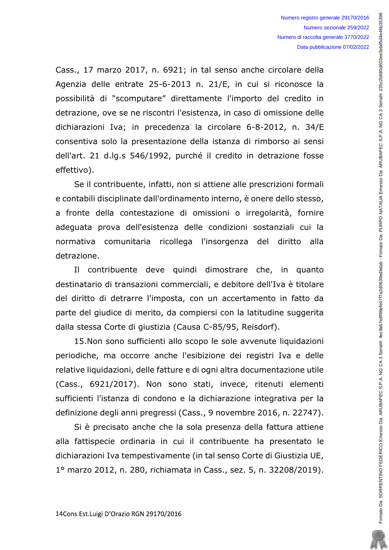Cass., 17 marzo 2017, n. 6921; in tal senso anche circolare della Agenzia delle entrate 25-6-2013 n. 21/E, in cui si riconosce la possibilità di "scomputare" direttamente l'importo del credito in detrazione, ove se ne riscontri l'esistenza, in caso di omissione delle dichiarazioni Iva; in precedenza la circolare 6-8-2012, n. 34/E consentiva solo la presentazione della istanza di rimborso ai sensi dell'art. 21 d.lg.s 546/1992, purché il credito in detrazione fosse effettivo).

Se il contribuente, infatti, non si attiene alle prescrizioni formali e contabili disciplinate dall'ordinamento interno, è onere dello stesso, a fronte della contestazione di omissioni o irregolarità, fornire adeguata prova dell'esistenza delle condizioni sostanziali cui la normativa comunitaria ricollega l'insorgenza del diritto alla detrazione.

Il contribuente deve quindi dimostrare che, in quanto destinatario di transazioni commerciali, e debitore dell'Iva è titolare del diritto di detrarre l'imposta, con un accertamento in fatto da parte del giudice di merito, da compiersi con la latitudine suggerita dalla stessa Corte di giustizia (Causa C-85/95, Reisdorf).

15.Non sono sufficienti allo scopo le sole avvenute liquidazioni periodiche, ma occorre anche l'esibizione dei registri Iva e delle relative liquidazioni, delle fatture e di ogni altra documentazione utile (Cass., 6921/2017). Non sono stati, invece, ritenuti elementi sufficienti l'istanza di condono e la dichiarazione integrativa per la definizione degli anni pregressi (Cass., 9 novembre 2016, n. 22747).

Si è precisato anche che la sola presenza della fattura attiene alla fattispecie ordinaria in cui il contribuente ha presentato le dichiarazioni Iva tempestivamente (in tal senso Corte di Giustizia UE, 1º marzo 2012, n. 280, richiamata in Cass., sez. 5, n. 32208/2019).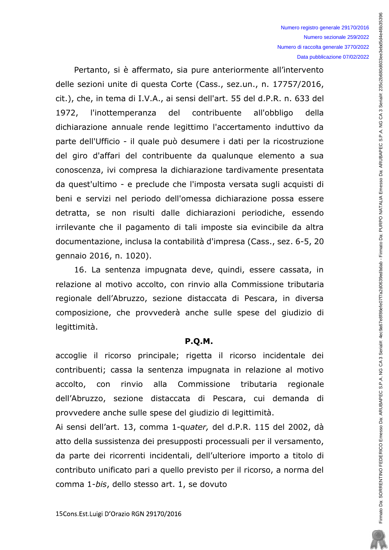Pertanto, si è affermato, sia pure anteriormente all'intervento delle sezioni unite di questa Corte (Cass., sez.un., n. 17757/2016, cit.), che, in tema di I.V.A., ai sensi dell'art. 55 del d.P.R. n. 633 del 1972, l'inottemperanza del contribuente all'obbligo della dichiarazione annuale rende legittimo l'accertamento induttivo da parte dell'Ufficio - il quale può desumere i dati per la ricostruzione del giro d'affari del contribuente da qualunque elemento a sua conoscenza, ivi compresa la dichiarazione tardivamente presentata da quest'ultimo - e preclude che l'imposta versata sugli acquisti di beni e servizi nel periodo dell'omessa dichiarazione possa essere detratta, se non risulti dalle dichiarazioni periodiche, essendo irrilevante che il pagamento di tali imposte sia evincibile da altra documentazione, inclusa la contabilità d'impresa (Cass., sez. 6-5, 20 gennaio 2016, n. 1020).

16. La sentenza impugnata deve, quindi, essere cassata, in relazione al motivo accolto, con rinvio alla Commissione tributaria regionale dell'Abruzzo, sezione distaccata di Pescara, in diversa composizione, che provvederà anche sulle spese del giudizio di legittimità.

#### **P.O.M.**

accoglie il ricorso principale; rigetta il ricorso incidentale dei contribuenti; cassa la sentenza impugnata in relazione al motivo alla Commissione tributaria accolto, con rinvio regionale dell'Abruzzo, sezione distaccata di Pescara, cui demanda di provvedere anche sulle spese del giudizio di legittimità.

Ai sensi dell'art. 13, comma 1-quater, del d.P.R. 115 del 2002, dà atto della sussistenza dei presupposti processuali per il versamento, da parte dei ricorrenti incidentali, dell'ulteriore importo a titolo di contributo unificato pari a quello previsto per il ricorso, a norma del comma 1-bis, dello stesso art. 1, se dovuto